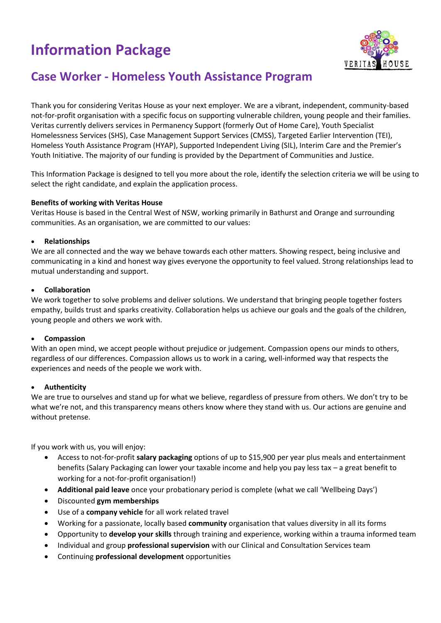# **Information Package**



# **Case Worker - Homeless Youth Assistance Program**

Thank you for considering Veritas House as your next employer. We are a vibrant, independent, community-based not-for-profit organisation with a specific focus on supporting vulnerable children, young people and their families. Veritas currently delivers services in Permanency Support (formerly Out of Home Care), Youth Specialist Homelessness Services (SHS), Case Management Support Services (CMSS), Targeted Earlier Intervention (TEI), Homeless Youth Assistance Program (HYAP), Supported Independent Living (SIL), Interim Care and the Premier's Youth Initiative. The majority of our funding is provided by the Department of Communities and Justice.

This Information Package is designed to tell you more about the role, identify the selection criteria we will be using to select the right candidate, and explain the application process.

# **Benefits of working with Veritas House**

Veritas House is based in the Central West of NSW, working primarily in Bathurst and Orange and surrounding communities. As an organisation, we are committed to our values:

## • **Relationships**

We are all connected and the way we behave towards each other matters. Showing respect, being inclusive and communicating in a kind and honest way gives everyone the opportunity to feel valued. Strong relationships lead to mutual understanding and support.

## • **Collaboration**

We work together to solve problems and deliver solutions. We understand that bringing people together fosters empathy, builds trust and sparks creativity. Collaboration helps us achieve our goals and the goals of the children, young people and others we work with.

#### • **Compassion**

With an open mind, we accept people without prejudice or judgement. Compassion opens our minds to others, regardless of our differences. Compassion allows us to work in a caring, well-informed way that respects the experiences and needs of the people we work with.

#### • **Authenticity**

We are true to ourselves and stand up for what we believe, regardless of pressure from others. We don't try to be what we're not, and this transparency means others know where they stand with us. Our actions are genuine and without pretense.

If you work with us, you will enjoy:

- Access to not-for-profit **salary packaging** options of up to \$15,900 per year plus meals and entertainment benefits (Salary Packaging can lower your taxable income and help you pay less tax – a great benefit to working for a not-for-profit organisation!)
- **Additional paid leave** once your probationary period is complete (what we call 'Wellbeing Days')
- Discounted **gym memberships**
- Use of a **company vehicle** for all work related travel
- Working for a passionate, locally based **community** organisation that values diversity in all its forms
- Opportunity to **develop your skills** through training and experience, working within a trauma informed team
- Individual and group **professional supervision** with our Clinical and Consultation Services team
- Continuing **professional development** opportunities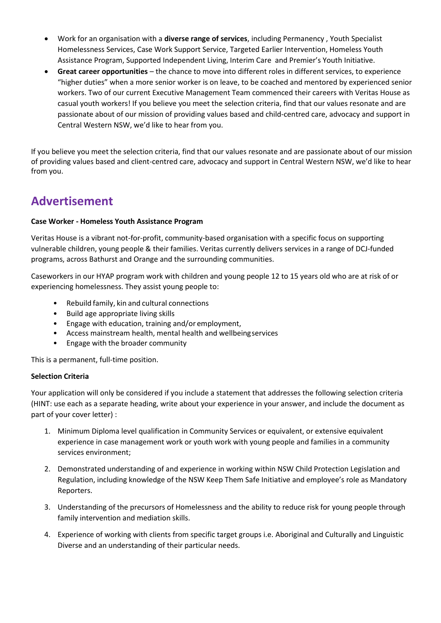- Work for an organisation with a **diverse range of services**, including Permanency , Youth Specialist Homelessness Services, Case Work Support Service, Targeted Earlier Intervention, Homeless Youth Assistance Program, Supported Independent Living, Interim Care  and Premier's Youth Initiative.
- **Great career opportunities** the chance to move into different roles in different services, to experience "higher duties" when a more senior worker is on leave, to be coached and mentored by experienced senior workers. Two of our current Executive Management Team commenced their careers with Veritas House as casual youth workers! If you believe you meet the selection criteria, find that our values resonate and are passionate about of our mission of providing values based and child-centred care, advocacy and support in Central Western NSW, we'd like to hear from you.

If you believe you meet the selection criteria, find that our values resonate and are passionate about of our mission of providing values based and client-centred care, advocacy and support in Central Western NSW, we'd like to hear from you.

# **Advertisement**

# **Case Worker - Homeless Youth Assistance Program**

Veritas House is a vibrant not-for-profit, community-based organisation with a specific focus on supporting vulnerable children, young people & their families. Veritas currently delivers services in a range of DCJ-funded programs, across Bathurst and Orange and the surrounding communities.

Caseworkers in our HYAP program work with children and young people 12 to 15 years old who are at risk of or experiencing homelessness. They assist young people to:

- Rebuild family, kin and cultural connections
- Build age appropriate living skills
- Engage with education, training and/or employment,
- Access mainstream health, mental health and wellbeingservices
- Engage with the broader community

This is a permanent, full-time position.

# **Selection Criteria**

Your application will only be considered if you include a statement that addresses the following selection criteria (HINT: use each as a separate heading, write about your experience in your answer, and include the document as part of your cover letter) :

- 1. Minimum Diploma level qualification in Community Services or equivalent, or extensive equivalent experience in case management work or youth work with young people and families in a community services environment;
- 2. Demonstrated understanding of and experience in working within NSW Child Protection Legislation and Regulation, including knowledge of the NSW Keep Them Safe Initiative and employee's role as Mandatory Reporters.
- 3. Understanding of the precursors of Homelessness and the ability to reduce risk for young people through family intervention and mediation skills.
- 4. Experience of working with clients from specific target groups i.e. Aboriginal and Culturally and Linguistic Diverse and an understanding of their particular needs.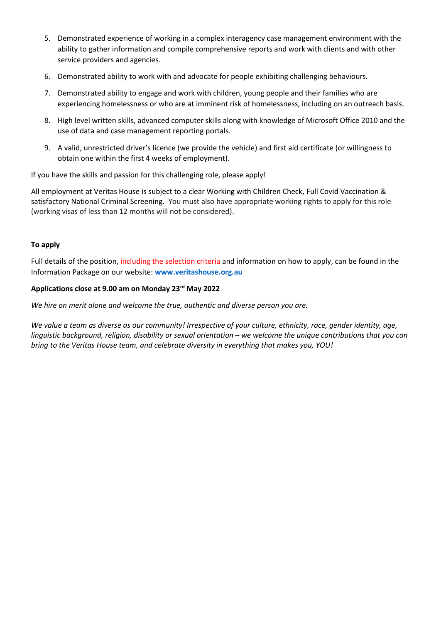- 5. Demonstrated experience of working in a complex interagency case management environment with the ability to gather information and compile comprehensive reports and work with clients and with other service providers and agencies.
- 6. Demonstrated ability to work with and advocate for people exhibiting challenging behaviours.
- 7. Demonstrated ability to engage and work with children, young people and their families who are experiencing homelessness or who are at imminent risk of homelessness, including on an outreach basis.
- 8. High level written skills, advanced computer skills along with knowledge of Microsoft Office 2010 and the use of data and case management reporting portals.
- 9. A valid, unrestricted driver's licence (we provide the vehicle) and first aid certificate (or willingness to obtain one within the first 4 weeks of employment).

If you have the skills and passion for this challenging role, please apply!

All employment at Veritas House is subject to a clear Working with Children Check, Full Covid Vaccination & satisfactory National Criminal Screening. You must also have appropriate working rights to apply for this role (working visas of less than 12 months will not be considered).

## **To apply**

Full details of the position, including the selection criteria and information on how to apply, can be found in the Information Package on our website: **[www.veritashouse.org.au](http://www.veritashouse.org.au/)**

#### **Applications close at 9.00 am on Monday 23rd May 2022**

*We hire on merit alone and welcome the true, authentic and diverse person you are.*

*We value a team as diverse as our community! Irrespective of your culture, ethnicity, race, gender identity, age, linguistic background, religion, disability or sexual orientation – we welcome the unique contributions that you can bring to the Veritas House team, and celebrate diversity in everything that makes you, YOU!*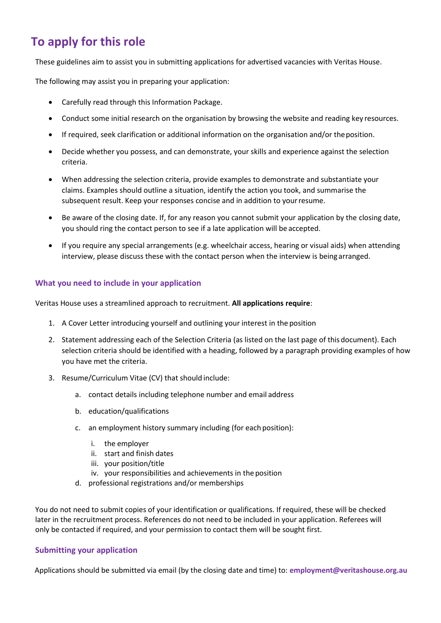# **To apply for this role**

These guidelines aim to assist you in submitting applications for advertised vacancies with Veritas House.

The following may assist you in preparing your application:

- Carefully read through this Information Package.
- Conduct some initial research on the organisation by browsing the website and reading key resources.
- If required, seek clarification or additional information on the organisation and/or theposition.
- Decide whether you possess, and can demonstrate, your skills and experience against the selection criteria.
- When addressing the selection criteria, provide examples to demonstrate and substantiate your claims. Examples should outline a situation, identify the action you took, and summarise the subsequent result. Keep your responses concise and in addition to yourresume.
- Be aware of the closing date. If, for any reason you cannot submit your application by the closing date, you should ring the contact person to see if a late application will be accepted.
- If you require any special arrangements (e.g. wheelchair access, hearing or visual aids) when attending interview, please discuss these with the contact person when the interview is being arranged.

# **What you need to include in your application**

Veritas House uses a streamlined approach to recruitment. **All applications require**:

- 1. A Cover Letter introducing yourself and outlining your interest in the position
- 2. Statement addressing each of the Selection Criteria (as listed on the last page of thisdocument). Each selection criteria should be identified with a heading, followed by a paragraph providing examples of how you have met the criteria.
- 3. Resume/Curriculum Vitae (CV) that should include:
	- a. contact details including telephone number and email address
	- b. education/qualifications
	- c. an employment history summary including (for each position):
		- i. the employer
		- ii. start and finish dates
		- iii. your position/title
		- iv. your responsibilities and achievements in the position
	- d. professional registrations and/or memberships

You do not need to submit copies of your identification or qualifications. If required, these will be checked later in the recruitment process. References do not need to be included in your application. Referees will only be contacted if required, and your permission to contact them will be sought first.

# **Submitting your application**

Applications should be submitted via email (by the closing date and time) to: **employment@veritashouse.org.au**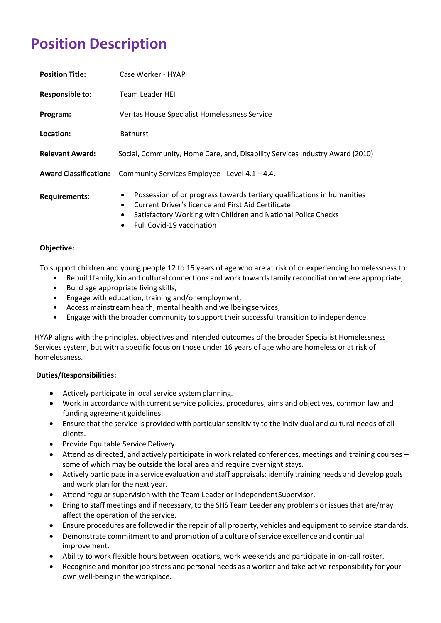# **Position Description**

| <b>Position Title:</b>       | Case Worker - HYAP                                                                                                                                                                                                                    |
|------------------------------|---------------------------------------------------------------------------------------------------------------------------------------------------------------------------------------------------------------------------------------|
| <b>Responsible to:</b>       | <b>Team Leader HEI</b>                                                                                                                                                                                                                |
| Program:                     | Veritas House Specialist Homelessness Service                                                                                                                                                                                         |
| Location:                    | <b>Bathurst</b>                                                                                                                                                                                                                       |
| <b>Relevant Award:</b>       | Social, Community, Home Care, and, Disability Services Industry Award (2010)                                                                                                                                                          |
| <b>Award Classification:</b> | Community Services Employee-Level 4.1 - 4.4.                                                                                                                                                                                          |
| <b>Requirements:</b>         | Possession of or progress towards tertiary qualifications in humanities<br>$\bullet$<br>Current Driver's licence and First Aid Certificate<br>$\bullet$<br>Satisfactory Working with Children and National Police Checks<br>$\bullet$ |

• Full Covid-19 vaccination

## **Objective:**

To support children and young people 12 to 15 years of age who are at risk of or experiencing homelessness to:

- Rebuild family, kin and cultural connections and work towardsfamily reconciliation where appropriate,
- Build age appropriate living skills,
- Engage with education, training and/or employment,
- Access mainstream health, mental health and wellbeingservices,
- Engage with the broader community to support their successful transition to independence.

HYAP aligns with the principles, objectives and intended outcomes of the broader Specialist Homelessness Services system, but with a specific focus on those under 16 years of age who are homeless or at risk of homelessness.

#### **Duties/Responsibilities:**

- Actively participate in local service system planning.
- Work in accordance with current service policies, procedures, aims and objectives, common law and funding agreement guidelines.
- Ensure that the service is provided with particularsensitivity to the individual and cultural needs of all clients.
- Provide Equitable Service Delivery.
- Attend as directed, and actively participate in work related conferences, meetings and training co[urses](http://www.docudesk.com/deskpdf/pdf-studio/buy-studio-x-now)  [some of which may be outside the local area and require overnight](http://www.docudesk.com/deskpdf/pdf-studio/buy-studio-x-now) [stays.](http://www.docudesk.com/deskpdf/pdf-studio/buy-studio-x-now)
- Actively [participate](http://www.docudesk.com/deskpdf/pdf-studio/buy-studio-x-now) in a service evaluation and staff appraisals: identify training needs and dev[elop goals](http://www.docudesk.com/deskpdf/pdf-studio/buy-studio-x-now)  [and work plan for the next](http://www.docudesk.com/deskpdf/pdf-studio/buy-studio-x-now) year.
- Atten[d regular supervision with the Team Leader or IndependentSupervisor.](http://www.docudesk.com/deskpdf/pdf-studio/buy-studio-x-now)
- Bring to staff meetings and if necessary, to the SHS Team Leader [any problems](http://www.docudesk.com/deskpdf/pdf-studio/buy-studio-x-now) or issues that [are/m](http://www.docudesk.com/deskpdf/pdf-studio/buy-studio-x-now)ay affect the [operation of the](http://www.docudesk.com/deskpdf/pdf-studio/buy-studio-x-now) service.
- Ensure [procedures](http://www.docudesk.com/deskpdf/pdf-studio/buy-studio-x-now) are followed in the repair of all property, vehicles and equipment to service stan[dards.](http://www.docudesk.com/deskpdf/pdf-studio/buy-studio-x-now)
- Demonstrate commitment to and promotion of a culture of service excellence and continual improvement.
- Ability [to work flexible hours between locations, work weekends and participate in on-call](http://www.docudesk.com/deskpdf/pdf-studio/buy-studio-x-now) roster.
- [Recognise](http://www.docudesk.com/deskpdf/pdf-studio/buy-studio-x-now) and monitor job stress and personal needs as a worker and take active [respon](http://www.docudesk.com/deskpdf/pdf-studio/buy-studio-x-now)sibility for your [own well-being in the](http://www.docudesk.com/deskpdf/pdf-studio/buy-studio-x-now) workplace.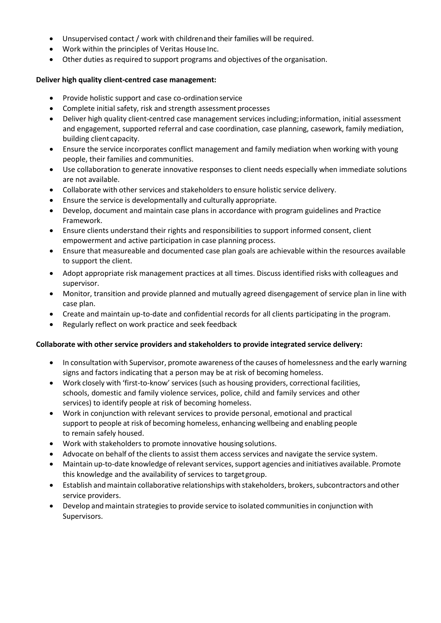- Unsu[pervised contact / work with childrenand their families will be required.](http://www.docudesk.com/deskpdf/pdf-studio/buy-studio-x-now)
- W[ork within the principles of Veritas House](http://www.docudesk.com/deskpdf/pdf-studio/buy-studio-x-now) Inc.
- Other duties as required to support programs and objectives of the organisation.

## **Deliver high quality client-centred case management:**

- Provide holistic support and case co-ordinationservice
- Complete initial safety, risk and strength assessment processes
- Deliver high quality client-centred case management services including;information, initial assessment and engagement, supported referral and case coordination, case planning, casework, family mediation, building client capacity.
- Ensure the service incorporates conflict management and family mediation when working with young people, their families and communities.
- Use collaboration to generate innovative responses to client needs especially when immediate solutions are not available.
- Collaborate with other services and stakeholders to ensure holistic service delivery.
- Ensure the service is developmentally and culturally appropriate.
- Develop, document and maintain case plans in accordance with program guidelines and Practice Framework.
- Ensure clients understand their rights and responsibilities to support informed consent, client empowerment and active participation in case planning process.
- Ensure that measureable and documented case plan goals are achievable within the resources available to support the client.
- Adopt appropriate risk management practices at all times. Discuss identified risks with colleagues and supervisor.
- Monitor, transition and provide planned and mutually agreed disengagement of service plan in line with case plan.
- Create and maintain up-to-date and confidential records for all clients participating in the program.
- Regularly reflect on work practice and seek feedback

# **Collaborate with other service providers and stakeholders to provide integrated service delivery:**

- In consultation with Supervisor, promote awareness of the causes of [homelessness](http://www.docudesk.com/deskpdf/pdf-studio/buy-studio-x-now) and the early warning [signs and factor](http://www.docudesk.com/deskpdf/pdf-studio/buy-studio-x-now)s indicating that [a person may be at risk of becoming](http://www.docudesk.com/deskpdf/pdf-studio/buy-studio-x-now) [homeless.](http://www.docudesk.com/deskpdf/pdf-studio/buy-studio-x-now)
- Work closely with 'first-to-know' services (such as housing providers, [correctional](http://www.docudesk.com/deskpdf/pdf-studio/buy-studio-x-now) facilities, schools, domestic and family violence services, police, child and family services and other services) to identify people at risk of becoming homeless.
- Work in conjunction with relevant services to provide personal, emotional and practical support to people at risk of becoming homeless, enhancing wellbeing and enabling people to remain safely housed.
- Work with stakeholders to promote innovative housing solutions.
- Advocate on behalf of the clients to assist them access services and navigate the service system.
- Maintain up-to-date knowledge of relevant services, support agencies and initiatives available. Promote this knowledge and the availability of services to targetgroup.
- Establish and maintain collaborative relationships with stakeholders, brokers, subcontractors and other service providers.
- Develop and maintain strategies to provide service to isolated communities in conjunction with Supervisors.